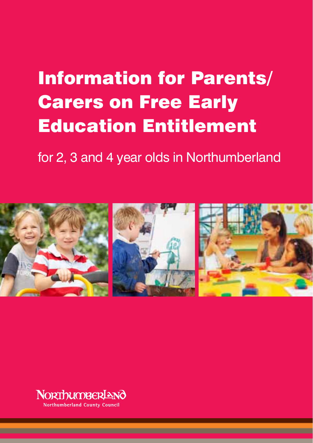# Information for Parents/ Carers on Free Early Education Entitlement

for 2, 3 and 4 year olds in Northumberland



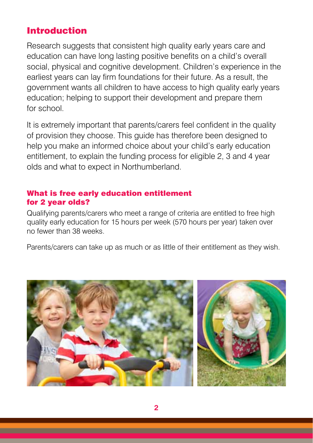## Introduction

Research suggests that consistent high quality early years care and education can have long lasting positive benefits on a child's overall social, physical and cognitive development. Children's experience in the earliest years can lay firm foundations for their future. As a result, the government wants all children to have access to high quality early years education; helping to support their development and prepare them for school.

It is extremely important that parents/carers feel confident in the quality of provision they choose. This guide has therefore been designed to help you make an informed choice about your child's early education entitlement, to explain the funding process for eligible 2, 3 and 4 year olds and what to expect in Northumberland.

#### What is free early education entitlement for 2 year olds?

Qualifying parents/carers who meet a range of criteria are entitled to free high quality early education for 15 hours per week (570 hours per year) taken over no fewer than 38 weeks.

Parents/carers can take up as much or as little of their entitlement as they wish.

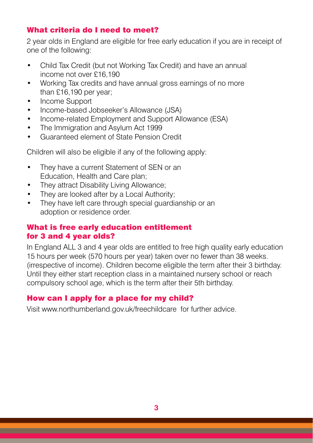#### What criteria do I need to meet?

2 year olds in England are eligible for free early education if you are in receipt of one of the following:

- Child Tax Credit (but not Working Tax Credit) and have an annual income not over £16,190
- Working Tax credits and have annual gross earnings of no more than £16,190 per year;
- Income Support
- Income-based Jobseeker's Allowance (JSA)
- Income-related Employment and Support Allowance (ESA)
- The Immigration and Asylum Act 1999
- Guaranteed element of State Pension Credit

Children will also be eligible if any of the following apply:

- They have a current Statement of SEN or an Education, Health and Care plan;
- They attract Disability Living Allowance;
- They are looked after by a Local Authority;
- They have left care through special guardianship or an adoption or residence order.

#### What is free early education entitlement for 3 and 4 year olds?

In England ALL 3 and 4 year olds are entitled to free high quality early education 15 hours per week (570 hours per year) taken over no fewer than 38 weeks. (irrespective of income). Children become eligible the term after their 3 birthday. Until they either start reception class in a maintained nursery school or reach compulsory school age, which is the term after their 5th birthday.

## How can I apply for a place for my child?

Visit www.northumberland.gov.uk/freechildcare for further advice.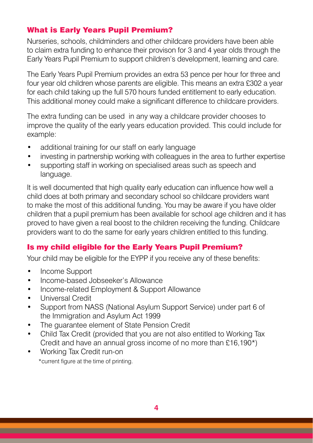#### What is Early Years Pupil Premium?

Nurseries, schools, childminders and other childcare providers have been able to claim extra funding to enhance their provison for 3 and 4 year olds through the Early Years Pupil Premium to support children's development, learning and care.

The Early Years Pupil Premium provides an extra 53 pence per hour for three and four year old children whose parents are eligible. This means an extra £302 a year for each child taking up the full 570 hours funded entitlement to early education. This additional money could make a significant difference to childcare providers.

The extra funding can be used in any way a childcare provider chooses to improve the quality of the early years education provided. This could include for example:

- additional training for our staff on early language
- investing in partnership working with colleagues in the area to further expertise
- supporting staff in working on specialised areas such as speech and language.

It is well documented that high quality early education can influence how well a child does at both primary and secondary school so childcare providers want to make the most of this additional funding. You may be aware if you have older children that a pupil premium has been available for school age children and it has proved to have given a real boost to the children receiving the funding. Childcare providers want to do the same for early years children entitled to this funding.

## Is my child eligible for the Early Years Pupil Premium?

Your child may be eligible for the EYPP if you receive any of these benefits:

- Income Support
- Income-based Jobseeker's Allowance
- Income-related Employment & Support Allowance
- • Universal Credit
- Support from NASS (National Asylum Support Service) under part 6 of the Immigration and Asylum Act 1999
- The quarantee element of State Pension Credit
- Child Tax Credit (provided that you are not also entitled to Working Tax Credit and have an annual gross income of no more than £16,190\*)
- Working Tax Credit run-on \*current figure at the time of printing.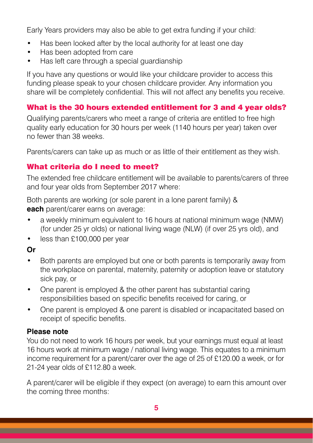Early Years providers may also be able to get extra funding if your child:

- Has been looked after by the local authority for at least one day
- Has been adopted from care
- Has left care through a special guardianship

If you have any questions or would like your childcare provider to access this funding please speak to your chosen childcare provider. Any information you share will be completely confidential. This will not affect any benefits you receive.

### What is the 30 hours extended entitlement for 3 and 4 year olds?

Qualifying parents/carers who meet a range of criteria are entitled to free high quality early education for 30 hours per week (1140 hours per year) taken over no fewer than 38 weeks.

Parents/carers can take up as much or as little of their entitlement as they wish.

#### What criteria do I need to meet?

The extended free childcare entitlement will be available to parents/carers of three and four year olds from September 2017 where:

Both parents are working (or sole parent in a lone parent family) & **each** parent/carer earns on average:

- a weekly minimum equivalent to 16 hours at national minimum wage (NMW) (for under 25 yr olds) or national living wage (NLW) (if over 25 yrs old), and
- less than £100,000 per year
- **Or**
- Both parents are employed but one or both parents is temporarily away from the workplace on parental, maternity, paternity or adoption leave or statutory sick pay, or
- One parent is employed & the other parent has substantial caring responsibilities based on specific benefits received for caring, or
- One parent is employed & one parent is disabled or incapacitated based on receipt of specific benefits.

#### **Please note**

You do not need to work 16 hours per week, but your earnings must equal at least 16 hours work at minimum wage / national living wage. This equates to a minimum income requirement for a parent/carer over the age of 25 of £120.00 a week, or for 21-24 year olds of £112.80 a week.

A parent/carer will be eligible if they expect (on average) to earn this amount over the coming three months:

**5**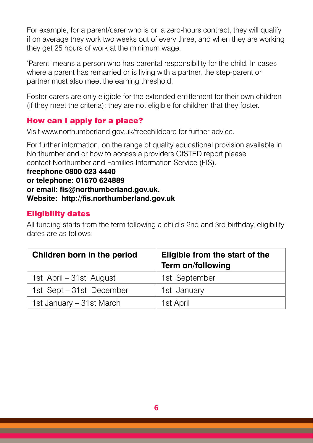For example, for a parent/carer who is on a zero-hours contract, they will qualify if on average they work two weeks out of every three, and when they are working they get 25 hours of work at the minimum wage.

'Parent' means a person who has parental responsibility for the child. In cases where a parent has remarried or is living with a partner, the step-parent or partner must also meet the earning threshold.

Foster carers are only eligible for the extended entitlement for their own children (if they meet the criteria); they are not eligible for children that they foster.

#### How can I apply for a place?

Visit www.northumberland.gov.uk/freechildcare for further advice.

For further information, on the range of quality educational provision available in Northumberland or how to access a providers OfSTED report please contact Northumberland Families Information Service (FIS).

**freephone 0800 023 4440 or telephone: 01670 624889 or email: fis@northumberland.gov.uk. Website: http://fis.northumberland.gov.uk**

## Eligibility dates

All funding starts from the term following a child's 2nd and 3rd birthday, eligibility dates are as follows:

| Children born in the period | Eligible from the start of the<br>Term on/following |
|-----------------------------|-----------------------------------------------------|
| 1st April – 31st August     | 1st September                                       |
| 1st Sept - 31st December    | 1st January                                         |
| 1st January – 31st March    | 1st April                                           |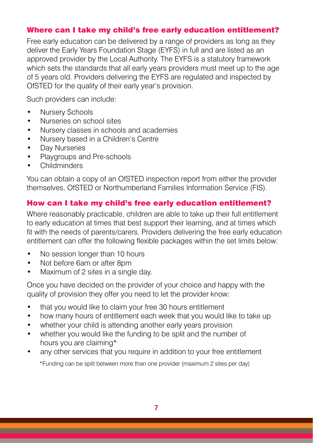#### Where can I take my child's free early education entitlement?

Free early education can be delivered by a range of providers as long as they deliver the Early Years Foundation Stage (EYFS) in full and are listed as an approved provider by the Local Authority. The EYFS is a statutory framework which sets the standards that all early years providers must meet up to the age of 5 years old. Providers delivering the EYFS are regulated and inspected by OfSTED for the quality of their early year's provision.

Such providers can include:

- **Nursery Schools**
- Nurseries on school sites
- Nursery classes in schools and academies
- Nursery based in a Children's Centre
- Day Nurseries
- Playgroups and Pre-schools
- **Childminders**

You can obtain a copy of an OfSTED inspection report from either the provider themselves, OfSTED or Northumberland Families Information Service (FIS).

## How can I take my child's free early education entitlement?

Where reasonably practicable, children are able to take up their full entitlement to early education at times that best support their learning, and at times which fit with the needs of parents/carers. Providers delivering the free early education entitlement can offer the following flexible packages within the set limits below:

- No session longer than 10 hours
- Not before 6am or after 8pm
- Maximum of 2 sites in a single day.

Once you have decided on the provider of your choice and happy with the quality of provision they offer you need to let the provider know:

- that you would like to claim your free 30 hours entitlement
- how many hours of entitlement each week that you would like to take up
- whether your child is attending another early years provision
- whether you would like the funding to be split and the number of hours you are claiming\*
- any other services that you require in addition to your free entitlement

\*Funding can be split between more than one provider (maximum 2 sites per day)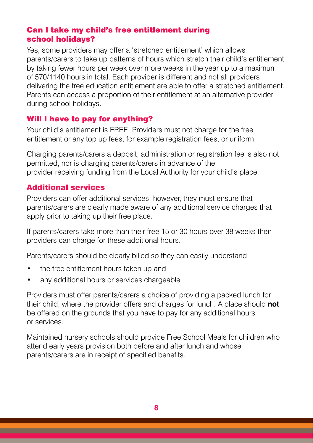#### Can I take my child's free entitlement during school holidays?

Yes, some providers may offer a 'stretched entitlement' which allows parents/carers to take up patterns of hours which stretch their child's entitlement by taking fewer hours per week over more weeks in the year up to a maximum of 570/1140 hours in total. Each provider is different and not all providers delivering the free education entitlement are able to offer a stretched entitlement. Parents can access a proportion of their entitlement at an alternative provider during school holidays.

#### Will I have to pay for anything?

Your child's entitlement is FREE. Providers must not charge for the free entitlement or any top up fees, for example registration fees, or uniform.

Charging parents/carers a deposit, administration or registration fee is also not permitted, nor is charging parents/carers in advance of the provider receiving funding from the Local Authority for your child's place.

#### Additional services

Providers can offer additional services; however, they must ensure that parents/carers are clearly made aware of any additional service charges that apply prior to taking up their free place.

If parents/carers take more than their free 15 or 30 hours over 38 weeks then providers can charge for these additional hours.

Parents/carers should be clearly billed so they can easily understand:

- the free entitlement hours taken up and
- any additional hours or services chargeable

Providers must offer parents/carers a choice of providing a packed lunch for their child, where the provider offers and charges for lunch. A place should **not**  be offered on the grounds that you have to pay for any additional hours or services.

Maintained nursery schools should provide Free School Meals for children who attend early years provision both before and after lunch and whose parents/carers are in receipt of specified benefits.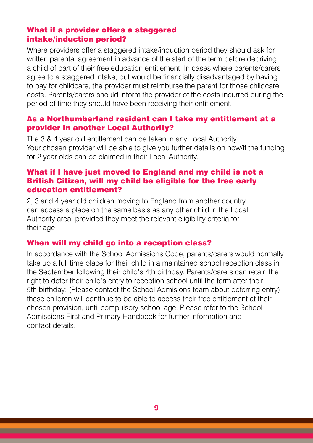#### What if a provider offers a staggered intake/induction period?

Where providers offer a staggered intake/induction period they should ask for written parental agreement in advance of the start of the term before depriving a child of part of their free education entitlement. In cases where parents/carers agree to a staggered intake, but would be financially disadvantaged by having to pay for childcare, the provider must reimburse the parent for those childcare costs. Parents/carers should inform the provider of the costs incurred during the period of time they should have been receiving their entitlement.

#### As a Northumberland resident can I take my entitlement at a provider in another Local Authority?

The 3 & 4 year old entitlement can be taken in any Local Authority. Your chosen provider will be able to give you further details on how/if the funding for 2 year olds can be claimed in their Local Authority.

#### What if I have just moved to England and my child is not a British Citizen, will my child be eligible for the free early education entitlement?

2, 3 and 4 year old children moving to England from another country can access a place on the same basis as any other child in the Local Authority area, provided they meet the relevant eligibility criteria for their age.

#### When will my child go into a reception class?

In accordance with the School Admissions Code, parents/carers would normally take up a full time place for their child in a maintained school reception class in the September following their child's 4th birthday. Parents/carers can retain the right to defer their child's entry to reception school until the term after their 5th birthday; (Please contact the School Admisions team about deferring entry) these children will continue to be able to access their free entitlement at their chosen provision, until compulsory school age. Please refer to the School Admissions First and Primary Handbook for further information and contact details.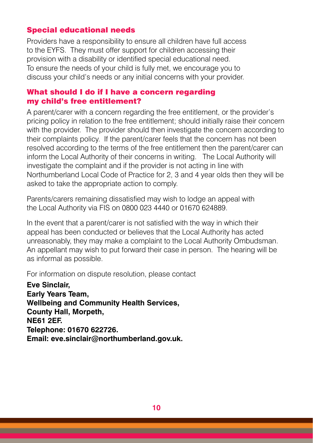#### Special educational needs

Providers have a responsibility to ensure all children have full access to the EYFS. They must offer support for children accessing their provision with a disability or identified special educational need. To ensure the needs of your child is fully met, we encourage you to discuss your child's needs or any initial concerns with your provider.

#### What should I do if I have a concern regarding my child's free entitlement?

A parent/carer with a concern regarding the free entitlement, or the provider's pricing policy in relation to the free entitlement; should initially raise their concern with the provider. The provider should then investigate the concern according to their complaints policy. If the parent/carer feels that the concern has not been resolved according to the terms of the free entitlement then the parent/carer can inform the Local Authority of their concerns in writing. The Local Authority will investigate the complaint and if the provider is not acting in line with Northumberland Local Code of Practice for 2, 3 and 4 year olds then they will be asked to take the appropriate action to comply.

Parents/carers remaining dissatisfied may wish to lodge an appeal with the Local Authority via FIS on 0800 023 4440 or 01670 624889.

In the event that a parent/carer is not satisfied with the way in which their appeal has been conducted or believes that the Local Authority has acted unreasonably, they may make a complaint to the Local Authority Ombudsman. An appellant may wish to put forward their case in person. The hearing will be as informal as possible.

For information on dispute resolution, please contact

**Eve Sinclair, Early Years Team, Wellbeing and Community Health Services, County Hall, Morpeth, NE61 2EF. Telephone: 01670 622726. Email: eve.sinclair@northumberland.gov.uk.**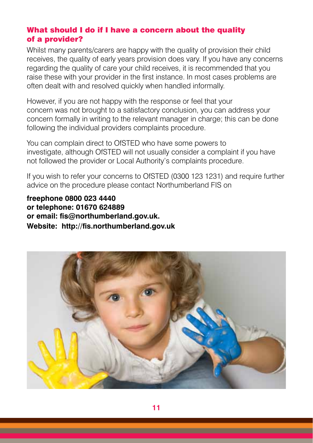#### What should I do if I have a concern about the quality of a provider?

Whilst many parents/carers are happy with the quality of provision their child receives, the quality of early years provision does vary. If you have any concerns regarding the quality of care your child receives, it is recommended that you raise these with your provider in the first instance. In most cases problems are often dealt with and resolved quickly when handled informally.

However, if you are not happy with the response or feel that your concern was not brought to a satisfactory conclusion, you can address your concern formally in writing to the relevant manager in charge; this can be done following the individual providers complaints procedure.

You can complain direct to OfSTED who have some powers to investigate, although OfSTED will not usually consider a complaint if you have not followed the provider or Local Authority's complaints procedure.

If you wish to refer your concerns to OfSTED (0300 123 1231) and require further advice on the procedure please contact Northumberland FIS on

**freephone 0800 023 4440 or telephone: 01670 624889 or email: fis@northumberland.gov.uk. Website: http://fis.northumberland.gov.uk**